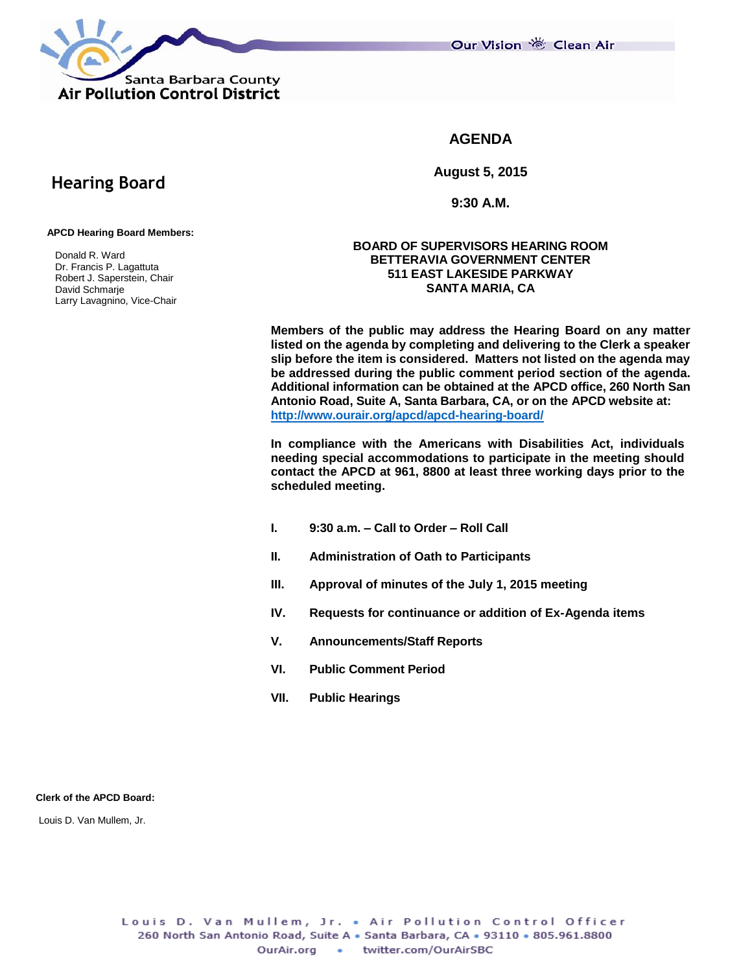

Our Vision 卷 Clean Air

# **AGENDA**

**August 5, 2015**

**9:30 A.M.**

### **APCD Hearing Board Members:**

 **Hearing Board**

 Donald R. Ward Dr. Francis P. Lagattuta Robert J. Saperstein, Chair David Schmarje Larry Lavagnino, Vice-Chair

### **BOARD OF SUPERVISORS HEARING ROOM BETTERAVIA GOVERNMENT CENTER 511 EAST LAKESIDE PARKWAY SANTA MARIA, CA**

**Members of the public may address the Hearing Board on any matter listed on the agenda by completing and delivering to the Clerk a speaker slip before the item is considered. Matters not listed on the agenda may be addressed during the public comment period section of the agenda. Additional information can be obtained at the APCD office, 260 North San Antonio Road, Suite A, Santa Barbara, CA, or on the APCD website at: <http://www.ourair.org/apcd/apcd-hearing-board/>**

**In compliance with the Americans with Disabilities Act, individuals needing special accommodations to participate in the meeting should contact the APCD at 961, 8800 at least three working days prior to the scheduled meeting.**

- **I. 9:30 a.m. – Call to Order – Roll Call**
- **II. Administration of Oath to Participants**
- **III. Approval of minutes of the July 1, 2015 meeting**
- **IV. Requests for continuance or addition of Ex-Agenda items**
- **V. Announcements/Staff Reports**
- **VI. Public Comment Period**
- **VII. Public Hearings**

### **Clerk of the APCD Board:**

Louis D. Van Mullem, Jr.